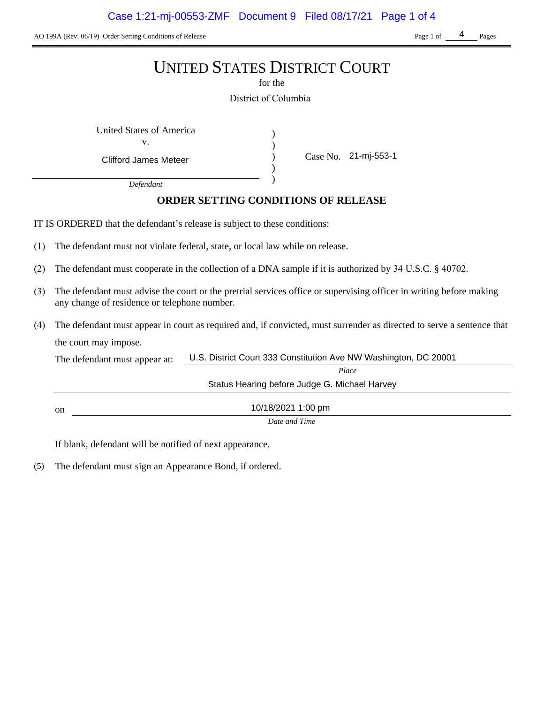AO 199A (Rev. 06/19) Order Setting Conditions of Release Page 1 of Page 1 of Pages

4

# UNITED STATES DISTRICT COURT

for the

District of Columbia

) ) ) )

United States of America (1992) v.

Clifford James Meteer

Case No. 21-mj-553-1

*Defendant*

# **ORDER SETTING CONDITIONS OF RELEASE**

IT IS ORDERED that the defendant's release is subject to these conditions:

- (1) The defendant must not violate federal, state, or local law while on release.
- (2) The defendant must cooperate in the collection of a DNA sample if it is authorized by 34 U.S.C. § 40702.
- (3) The defendant must advise the court or the pretrial services office or supervising officer in writing before making any change of residence or telephone number.
- (4) The defendant must appear in court as required and, if convicted, must surrender as directed to serve a sentence that the court may impose.

The defendant must appear at: *Place* on *Date and Time* U.S. District Court 333 Constitution Ave NW Washington, DC 20001<br>
Place<br>
Status Hearing before Judge G. Michael Harvey 10/18/2021 1:00 pm

If blank, defendant will be notified of next appearance.

(5) The defendant must sign an Appearance Bond, if ordered.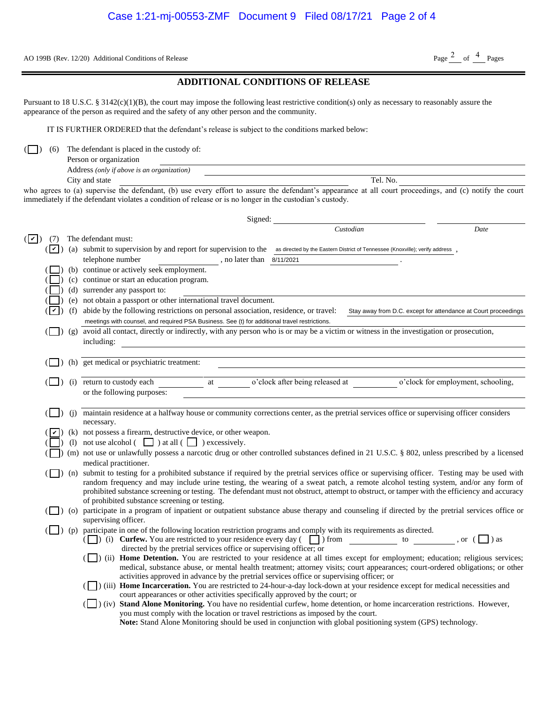AO 199B (Rev. 12/20) Additional Conditions of Release Page  $\frac{2}{\text{Page}}$  of  $\frac{4}{\text{Page}}$  Pages

## **ADDITIONAL CONDITIONS OF RELEASE**

| Person or organization                     |          |
|--------------------------------------------|----------|
| Address (only if above is an organization) |          |
| City and state                             | Tel. No. |

| AO 199B (Rev. 12/20) Additional Conditions of Release                                                                                                                                                                                                                                                                                                                                                                                                                                                                                                                                                                                                                                                                                                                                                                                                                                                                                                                                                                                                                                                                                                                                                                                             | Page $^2$ of $^4$ Pages                                        |
|---------------------------------------------------------------------------------------------------------------------------------------------------------------------------------------------------------------------------------------------------------------------------------------------------------------------------------------------------------------------------------------------------------------------------------------------------------------------------------------------------------------------------------------------------------------------------------------------------------------------------------------------------------------------------------------------------------------------------------------------------------------------------------------------------------------------------------------------------------------------------------------------------------------------------------------------------------------------------------------------------------------------------------------------------------------------------------------------------------------------------------------------------------------------------------------------------------------------------------------------------|----------------------------------------------------------------|
| <b>ADDITIONAL CONDITIONS OF RELEASE</b>                                                                                                                                                                                                                                                                                                                                                                                                                                                                                                                                                                                                                                                                                                                                                                                                                                                                                                                                                                                                                                                                                                                                                                                                           |                                                                |
| Pursuant to 18 U.S.C. § 3142(c)(1)(B), the court may impose the following least restrictive condition(s) only as necessary to reasonably assure the<br>appearance of the person as required and the safety of any other person and the community.                                                                                                                                                                                                                                                                                                                                                                                                                                                                                                                                                                                                                                                                                                                                                                                                                                                                                                                                                                                                 |                                                                |
| IT IS FURTHER ORDERED that the defendant's release is subject to the conditions marked below:                                                                                                                                                                                                                                                                                                                                                                                                                                                                                                                                                                                                                                                                                                                                                                                                                                                                                                                                                                                                                                                                                                                                                     |                                                                |
| The defendant is placed in the custody of:<br>(6)<br>Person or organization<br>Address (only if above is an organization)                                                                                                                                                                                                                                                                                                                                                                                                                                                                                                                                                                                                                                                                                                                                                                                                                                                                                                                                                                                                                                                                                                                         |                                                                |
| Tel. No.<br>City and state                                                                                                                                                                                                                                                                                                                                                                                                                                                                                                                                                                                                                                                                                                                                                                                                                                                                                                                                                                                                                                                                                                                                                                                                                        |                                                                |
| who agrees to (a) supervise the defendant, (b) use every effort to assure the defendant's appearance at all court proceedings, and (c) notify the court<br>immediately if the defendant violates a condition of release or is no longer in the custodian's custody.                                                                                                                                                                                                                                                                                                                                                                                                                                                                                                                                                                                                                                                                                                                                                                                                                                                                                                                                                                               |                                                                |
| Signed:                                                                                                                                                                                                                                                                                                                                                                                                                                                                                                                                                                                                                                                                                                                                                                                                                                                                                                                                                                                                                                                                                                                                                                                                                                           |                                                                |
| Custodian<br>The defendant must:<br>$(  \vee  )$<br>(7)                                                                                                                                                                                                                                                                                                                                                                                                                                                                                                                                                                                                                                                                                                                                                                                                                                                                                                                                                                                                                                                                                                                                                                                           | Date                                                           |
| (a) submit to supervision by and report for supervision to the as directed by the Eastern District of Tennessee (Knoxville); verify address<br>$( \mathbf{v} )$<br>telephone number<br>, no later than 8/11/2021                                                                                                                                                                                                                                                                                                                                                                                                                                                                                                                                                                                                                                                                                                                                                                                                                                                                                                                                                                                                                                  |                                                                |
| (b) continue or actively seek employment.                                                                                                                                                                                                                                                                                                                                                                                                                                                                                                                                                                                                                                                                                                                                                                                                                                                                                                                                                                                                                                                                                                                                                                                                         |                                                                |
| (c) continue or start an education program.                                                                                                                                                                                                                                                                                                                                                                                                                                                                                                                                                                                                                                                                                                                                                                                                                                                                                                                                                                                                                                                                                                                                                                                                       |                                                                |
| (d) surrender any passport to:<br>(e) not obtain a passport or other international travel document.                                                                                                                                                                                                                                                                                                                                                                                                                                                                                                                                                                                                                                                                                                                                                                                                                                                                                                                                                                                                                                                                                                                                               |                                                                |
| (f) abide by the following restrictions on personal association, residence, or travel:<br>⊺∽∣                                                                                                                                                                                                                                                                                                                                                                                                                                                                                                                                                                                                                                                                                                                                                                                                                                                                                                                                                                                                                                                                                                                                                     | Stay away from D.C. except for attendance at Court proceedings |
| meetings with counsel, and required PSA Business. See (t) for additional travel restrictions.<br>(g) avoid all contact, directly or indirectly, with any person who is or may be a victim or witness in the investigation or prosecution,                                                                                                                                                                                                                                                                                                                                                                                                                                                                                                                                                                                                                                                                                                                                                                                                                                                                                                                                                                                                         |                                                                |
| including:                                                                                                                                                                                                                                                                                                                                                                                                                                                                                                                                                                                                                                                                                                                                                                                                                                                                                                                                                                                                                                                                                                                                                                                                                                        |                                                                |
|                                                                                                                                                                                                                                                                                                                                                                                                                                                                                                                                                                                                                                                                                                                                                                                                                                                                                                                                                                                                                                                                                                                                                                                                                                                   |                                                                |
| (h) get medical or psychiatric treatment:                                                                                                                                                                                                                                                                                                                                                                                                                                                                                                                                                                                                                                                                                                                                                                                                                                                                                                                                                                                                                                                                                                                                                                                                         |                                                                |
| o'clock after being released at<br>(i) return to custody each<br>at<br>or the following purposes:                                                                                                                                                                                                                                                                                                                                                                                                                                                                                                                                                                                                                                                                                                                                                                                                                                                                                                                                                                                                                                                                                                                                                 | o'clock for employment, schooling,                             |
| maintain residence at a halfway house or community corrections center, as the pretrial services office or supervising officer considers<br>(i)<br>necessary.                                                                                                                                                                                                                                                                                                                                                                                                                                                                                                                                                                                                                                                                                                                                                                                                                                                                                                                                                                                                                                                                                      |                                                                |
| (k) not possess a firearm, destructive device, or other weapon.                                                                                                                                                                                                                                                                                                                                                                                                                                                                                                                                                                                                                                                                                                                                                                                                                                                                                                                                                                                                                                                                                                                                                                                   |                                                                |
| not use alcohol $\begin{pmatrix} \square \\ \square \end{pmatrix}$ at all $\begin{pmatrix} \square \\ \square \end{pmatrix}$ excessively.<br>(1)                                                                                                                                                                                                                                                                                                                                                                                                                                                                                                                                                                                                                                                                                                                                                                                                                                                                                                                                                                                                                                                                                                  |                                                                |
| ( ) (m) not use or unlawfully possess a narcotic drug or other controlled substances defined in 21 U.S.C. § 802, unless prescribed by a licensed<br>medical practitioner.                                                                                                                                                                                                                                                                                                                                                                                                                                                                                                                                                                                                                                                                                                                                                                                                                                                                                                                                                                                                                                                                         |                                                                |
| (n) submit to testing for a prohibited substance if required by the pretrial services office or supervising officer. Testing may be used with<br>random frequency and may include urine testing, the wearing of a sweat patch, a remote alcohol testing system, and/or any form of<br>prohibited substance screening or testing. The defendant must not obstruct, attempt to obstruct, or tamper with the efficiency and accuracy<br>of prohibited substance screening or testing.                                                                                                                                                                                                                                                                                                                                                                                                                                                                                                                                                                                                                                                                                                                                                                |                                                                |
| (O) participate in a program of inpatient or outpatient substance abuse therapy and counseling if directed by the pretrial services office or<br>supervising officer.                                                                                                                                                                                                                                                                                                                                                                                                                                                                                                                                                                                                                                                                                                                                                                                                                                                                                                                                                                                                                                                                             |                                                                |
| (p) participate in one of the following location restriction programs and comply with its requirements as directed.<br>( $\Box$ ) (i) <b>Curfew.</b> You are restricted to your residence every day ( $\Box$ ) from $\Box$ to $\Box$ , or ( $\Box$ ) as<br>directed by the pretrial services office or supervising officer; or<br>(ii) Home Detention. You are restricted to your residence at all times except for employment; education; religious services;<br>medical, substance abuse, or mental health treatment; attorney visits; court appearances; court-ordered obligations; or other<br>activities approved in advance by the pretrial services office or supervising officer; or<br>(iii) Home Incarceration. You are restricted to 24-hour-a-day lock-down at your residence except for medical necessities and<br>court appearances or other activities specifically approved by the court; or<br>(U) (iv) Stand Alone Monitoring. You have no residential curfew, home detention, or home incarceration restrictions. However,<br>you must comply with the location or travel restrictions as imposed by the court.<br>Note: Stand Alone Monitoring should be used in conjunction with global positioning system (GPS) technology. |                                                                |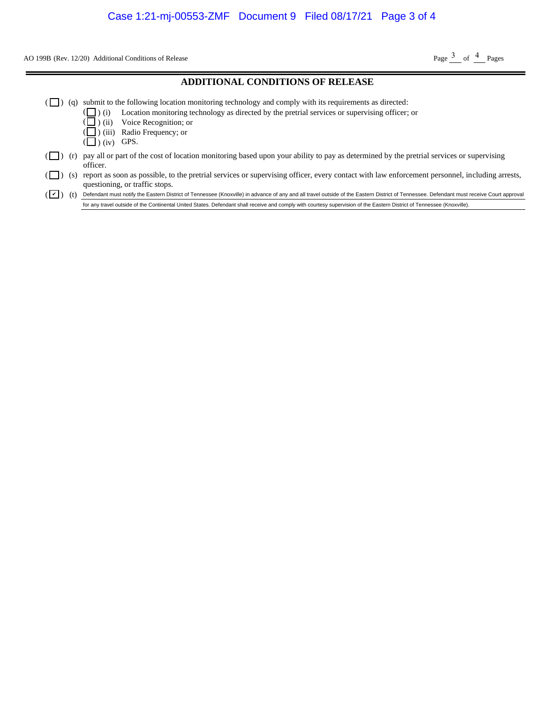AO 199B (Rev. 12/20) Additional Conditions of Release Page  $\frac{3}{2}$  of  $\frac{4}{2}$  Pages

#### **ADDITIONAL CONDITIONS OF RELEASE**

 $(\Box)$  (q) submit to the following location monitoring technology and comply with its requirements as directed:

) (i) Location monitoring technology as directed by the pretrial services or supervising officer; or

) (ii) Voice Recognition; or

) (iii) Radio Frequency; or

 $\left(\Box\right)$  (iv) GPS.

( ( (

- $(\Box)$  (r) pay all or part of the cost of location monitoring based upon your ability to pay as determined by the pretrial services or supervising officer. (a) Additional Conditions of Release<br> **ADDITIONAL CONDITIONS OF RELEASE**<br>
submit to the following location monitoring technology as directed by the pretrial services or supervising officer; or<br>
( $\Box$ ) (ii) Voice Recogniti
- ( $\Box$ ) (s) report as soon as possible, to the pretrial services or supervising officer, every contact with law enforcement personnel, including arrests, questioning, or traffic stops.

(V) (t) Defendant must notify the Eastern District of Tennessee (Knoxville) in advance of any and all travel outside of the Eastern District of Tennessee. Defendant must receive Court approval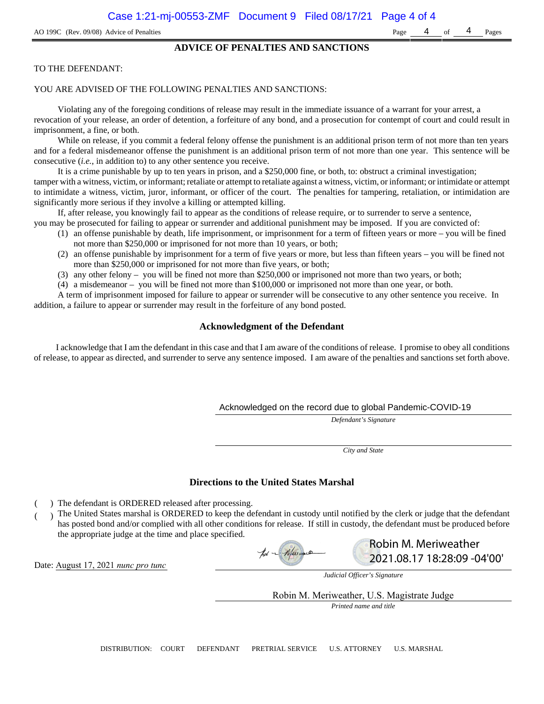#### **ADVICE OF PENALTIES AND SANCTIONS**

#### TO THE DEFENDANT:

#### YOU ARE ADVISED OF THE FOLLOWING PENALTIES AND SANCTIONS:

Violating any of the foregoing conditions of release may result in the immediate issuance of a warrant for your arrest, a revocation of your release, an order of detention, a forfeiture of any bond, and a prosecution for contempt of court and could result in imprisonment, a fine, or both.

While on release, if you commit a federal felony offense the punishment is an additional prison term of not more than ten years and for a federal misdemeanor offense the punishment is an additional prison term of not more than one year. This sentence will be consecutive (*i.e.*, in addition to) to any other sentence you receive.

It is a crime punishable by up to ten years in prison, and a \$250,000 fine, or both, to: obstruct a criminal investigation; tamper with a witness, victim, or informant; retaliate or attempt to retaliate against a witness, victim, or informant; or intimidate or attempt to intimidate a witness, victim, juror, informant, or officer of the court. The penalties for tampering, retaliation, or intimidation are significantly more serious if they involve a killing or attempted killing.

If, after release, you knowingly fail to appear as the conditions of release require, or to surrender to serve a sentence,

- you may be prosecuted for failing to appear or surrender and additional punishment may be imposed. If you are convicted of:
	- (1) an offense punishable by death, life imprisonment, or imprisonment for a term of fifteen years or more you will be fined not more than \$250,000 or imprisoned for not more than 10 years, or both;
	- (2) an offense punishable by imprisonment for a term of five years or more, but less than fifteen years you will be fined not more than \$250,000 or imprisoned for not more than five years, or both;
	- (3) any other felony you will be fined not more than \$250,000 or imprisoned not more than two years, or both;
	- (4) a misdemeanor you will be fined not more than \$100,000 or imprisoned not more than one year, or both.

A term of imprisonment imposed for failure to appear or surrender will be consecutive to any other sentence you receive. In addition, a failure to appear or surrender may result in the forfeiture of any bond posted.

#### **Acknowledgment of the Defendant**

I acknowledge that I am the defendant in this case and that I am aware of the conditions of release. I promise to obey all conditions of release, to appear as directed, and surrender to serve any sentence imposed. I am aware of the penalties and sanctions set forth above.

#### Acknowledged on the record due to global Pandemic-COVID-19

*Defendant's Signature*

*City and State*

#### **Directions to the United States Marshal**

- ) The defendant is ORDERED released after processing.
- ) The United States marshal is ORDERED to keep the defendant in custody until notified by the clerk or judge that the defendant has posted bond and/or complied with all other conditions for release. If still in custody, the defendant must be produced before the appropriate judge at the time and place specified.



Date: August 17, 2021 *nunc pro tunc*



Robin M. Meriweather

*Judicial Officer's Signature*

Robin M. Meriweather, U.S. Magistrate Judge

*Printed name and title*

DISTRIBUTION: COURT DEFENDANT PRETRIAL SERVICE U.S. ATTORNEY U.S. MARSHAL

4 of 4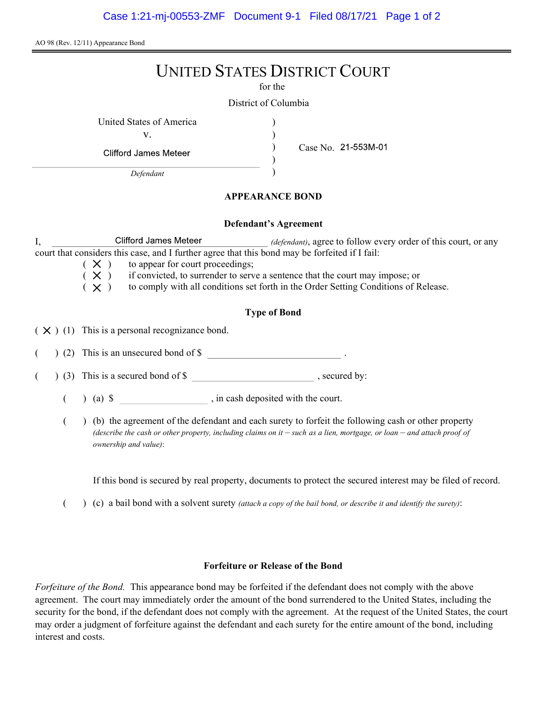AO 98 (Rev. 12/11) Appearance Bond

# UNITED STATES DISTRICT COURT

for the

) ) ) )

District of Columbia

United States of America (1996)

v.

**Clifford James Meteer** 

Defendant

Case No.

# APPEARANCE BOND

#### Defendant's Agreement

I, Clifford James Meteer *(defendant)*, agree to follow every order of this court, or any court that considers this case, and I further agree that this bond may be forfeited if I fail:

 $(X)$  to appear for court proceedings;

 $(X)$  if convicted, to surrender to serve a sentence that the court may impose; or

 $(X)$  to comply with all conditions set forth in the Order Setting Conditions of Release.

# Type of Bond

 $(X)$  (1) This is a personal recognizance bond.

(2) This is an unsecured bond of \$

 $($   $)$  (3) This is a secured bond of \$, secured by:

 $($  ) (a)  $\$  , in cash deposited with the court.

( ) (b) the agreement of the defendant and each surety to forfeit the following cash or other property (describe the cash or other property, including claims on it  $-$  such as a lien, mortgage, or loan  $-$  and attach proof of ownership and value):

If this bond is secured by real property, documents to protect the secured interest may be filed of record.

( $\)$  (c) a bail bond with a solvent surety *(attach a copy of the bail bond, or describe it and identify the surety)*:

### Forfeiture or Release of the Bond

Forfeiture of the Bond. This appearance bond may be forfeited if the defendant does not comply with the above agreement. The court may immediately order the amount of the bond surrendered to the United States, including the security for the bond, if the defendant does not comply with the agreement. At the request of the United States, the court may order a judgment of forfeiture against the defendant and each surety for the entire amount of the bond, including interest and costs.